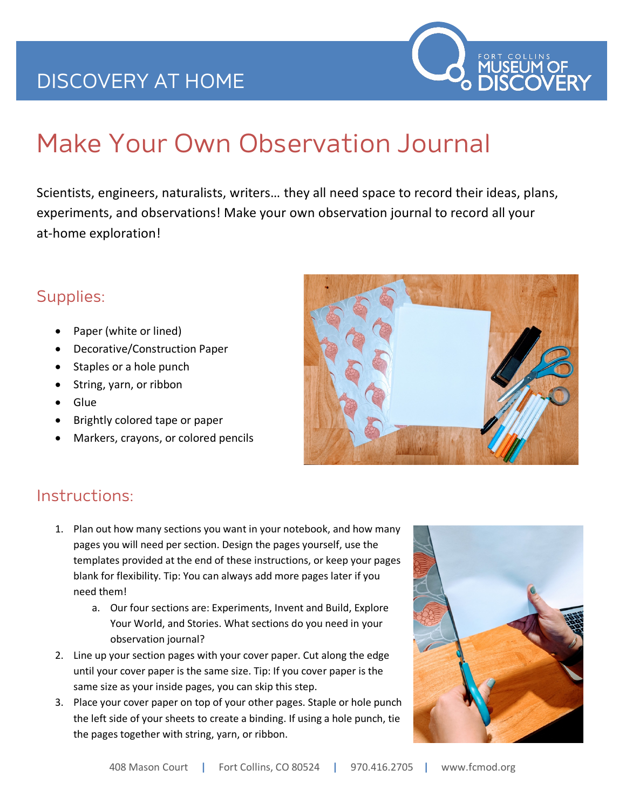## DISCOVERY AT HOME



# Make Your Own Observation Journal

Scientists, engineers, naturalists, writers… they all need space to record their ideas, plans, experiments, and observations! Make your own observation journal to record all your at-home exploration!

#### Supplies:

- Paper (white or lined)
- Decorative/Construction Paper
- Staples or a hole punch
- String, yarn, or ribbon
- Glue
- Brightly colored tape or paper
- Markers, crayons, or colored pencils



#### Instructions:

- 1. Plan out how many sections you want in your notebook, and how many pages you will need per section. Design the pages yourself, use the templates provided at the end of these instructions, or keep your pages blank for flexibility. Tip: You can always add more pages later if you need them!
	- a. Our four sections are: Experiments, Invent and Build, Explore Your World, and Stories. What sections do you need in your observation journal?
- 2. Line up your section pages with your cover paper. Cut along the edge until your cover paper is the same size. Tip: If you cover paper is the same size as your inside pages, you can skip this step.
- 3. Place your cover paper on top of your other pages. Staple or hole punch the left side of your sheets to create a binding. If using a hole punch, tie the pages together with string, yarn, or ribbon.

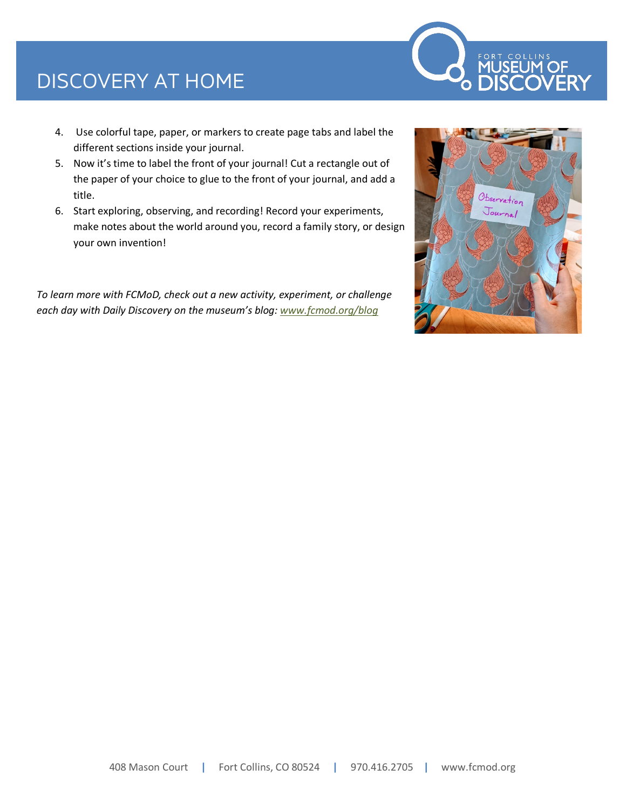## DISCOVERY AT HOME



- 4. Use colorful tape, paper, or markers to create page tabs and label the different sections inside your journal.
- 5. Now it's time to label the front of your journal! Cut a rectangle out of the paper of your choice to glue to the front of your journal, and add a title.
- 6. Start exploring, observing, and recording! Record your experiments, make notes about the world around you, record a family story, or design your own invention!

*To learn more with FCMoD, check out a new activity, experiment, or challenge each day with Daily Discovery on the museum's blog: www.fcmod.org/blog*

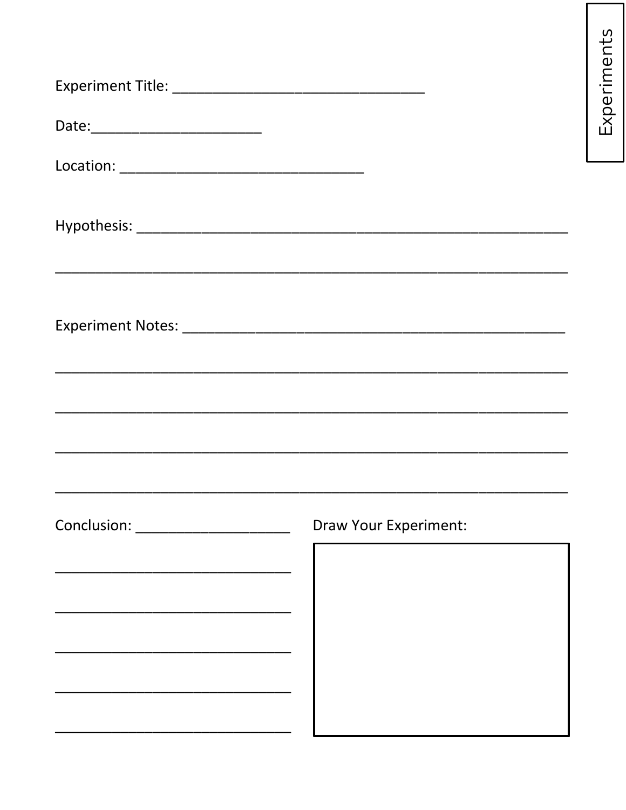| Draw Your Experiment: |
|-----------------------|
|                       |
|                       |

Experiments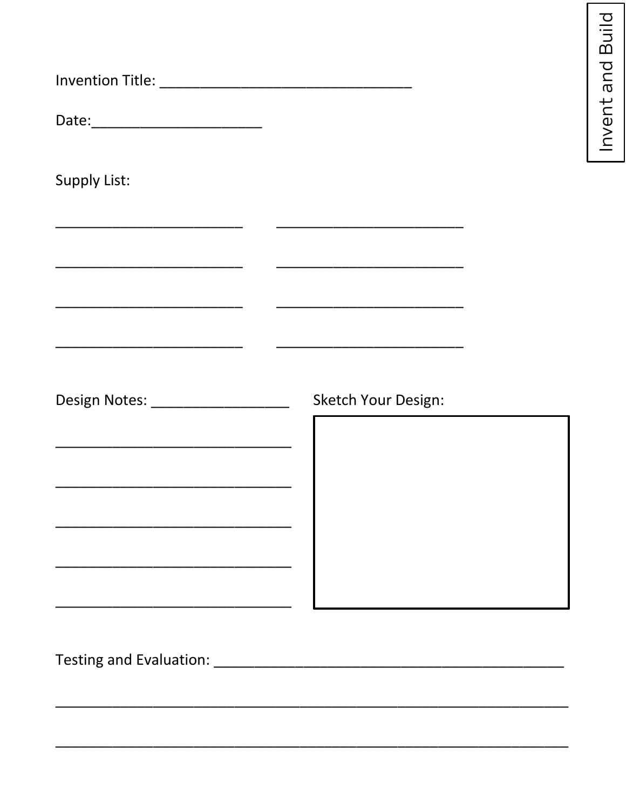| Date:____________________________                                                                                    |                                                                                                                                                                                 |
|----------------------------------------------------------------------------------------------------------------------|---------------------------------------------------------------------------------------------------------------------------------------------------------------------------------|
| <b>Supply List:</b>                                                                                                  |                                                                                                                                                                                 |
|                                                                                                                      | <u> 1989 - Johann John Stone, mars eta biztanleria (</u>                                                                                                                        |
|                                                                                                                      | <u> 1989 - Johann John Stone, mars eta bernaren 1980 - Johann Stone, marraren 1980 - Johann Stone, marraren 1980</u><br><u> 1989 - Johann John Stone, mars et al. (b. 1989)</u> |
| Design Notes: ___________________                                                                                    | <b>Sketch Your Design:</b>                                                                                                                                                      |
| <u> 1980 - Johann John Stone, markin film yn y brenin y brenin y brenin y brenin y brenin y brenin y brenin y br</u> |                                                                                                                                                                                 |
|                                                                                                                      |                                                                                                                                                                                 |
|                                                                                                                      |                                                                                                                                                                                 |
|                                                                                                                      |                                                                                                                                                                                 |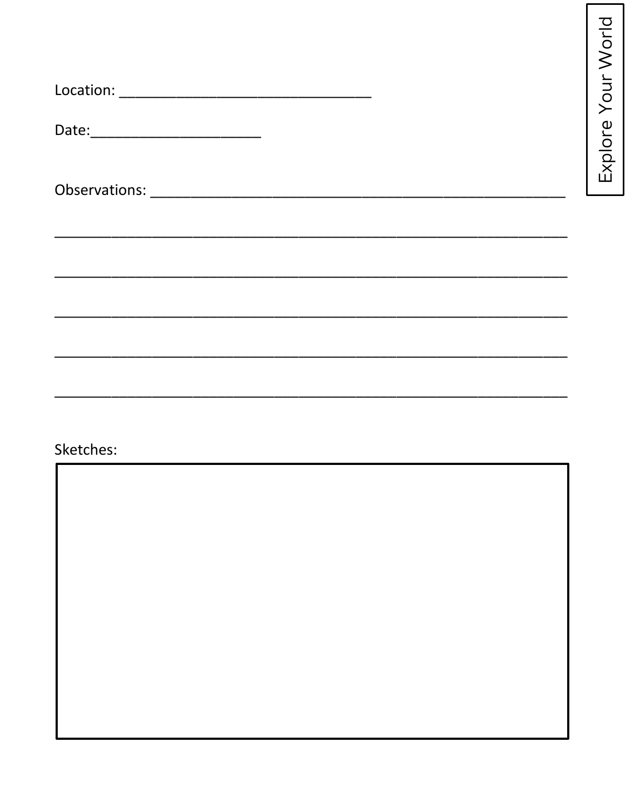| Date:____________________________ |  |  |  |
|-----------------------------------|--|--|--|
|                                   |  |  |  |
|                                   |  |  |  |
|                                   |  |  |  |
|                                   |  |  |  |
|                                   |  |  |  |
|                                   |  |  |  |

Explore Your World

### Sketches: